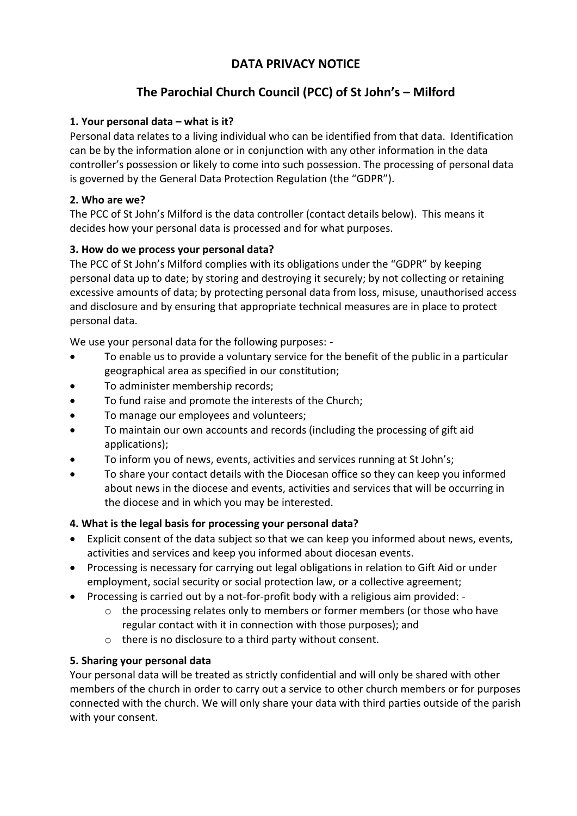# **DATA PRIVACY NOTICE**

# **The Parochial Church Council (PCC) of St John's – Milford**

#### **1. Your personal data – what is it?**

Personal data relates to a living individual who can be identified from that data. Identification can be by the information alone or in conjunction with any other information in the data controller's possession or likely to come into such possession. The processing of personal data is governed by the General Data Protection Regulation (the "GDPR").

#### **2. Who are we?**

The PCC of St John's Milford is the data controller (contact details below). This means it decides how your personal data is processed and for what purposes.

# **3. How do we process your personal data?**

The PCC of St John's Milford complies with its obligations under the "GDPR" by keeping personal data up to date; by storing and destroying it securely; by not collecting or retaining excessive amounts of data; by protecting personal data from loss, misuse, unauthorised access and disclosure and by ensuring that appropriate technical measures are in place to protect personal data.

We use your personal data for the following purposes: -

- To enable us to provide a voluntary service for the benefit of the public in a particular geographical area as specified in our constitution;
- To administer membership records;
- To fund raise and promote the interests of the Church;
- To manage our employees and volunteers;
- To maintain our own accounts and records (including the processing of gift aid applications);
- To inform you of news, events, activities and services running at St John's;
- To share your contact details with the Diocesan office so they can keep you informed about news in the diocese and events, activities and services that will be occurring in the diocese and in which you may be interested.

#### **4. What is the legal basis for processing your personal data?**

- Explicit consent of the data subject so that we can keep you informed about news, events, activities and services and keep you informed about diocesan events.
- Processing is necessary for carrying out legal obligations in relation to Gift Aid or under employment, social security or social protection law, or a collective agreement;
- Processing is carried out by a not-for-profit body with a religious aim provided:
	- o the processing relates only to members or former members (or those who have regular contact with it in connection with those purposes); and
	- o there is no disclosure to a third party without consent.

# **5. Sharing your personal data**

Your personal data will be treated as strictly confidential and will only be shared with other members of the church in order to carry out a service to other church members or for purposes connected with the church. We will only share your data with third parties outside of the parish with your consent.